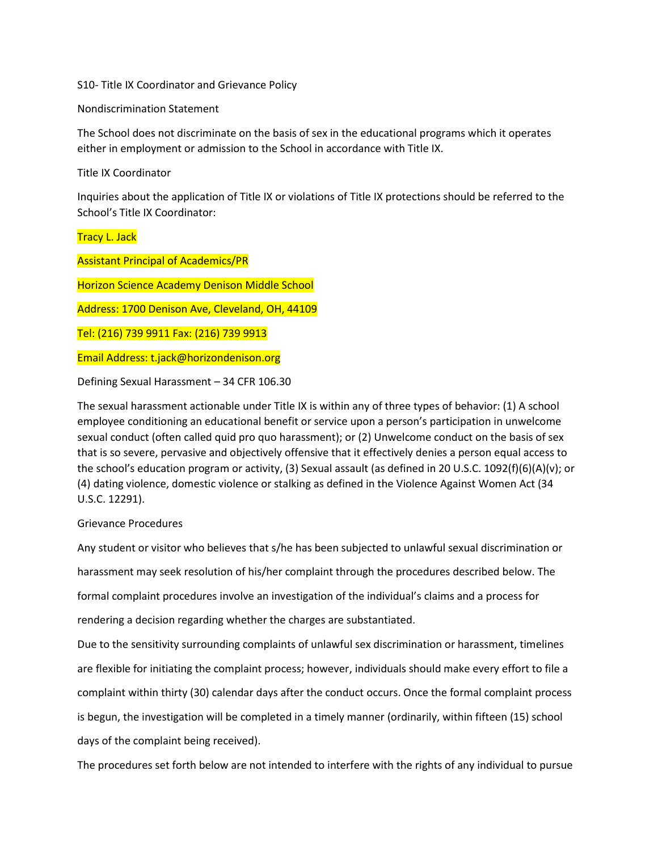S10- Title IX Coordinator and Grievance Policy

Nondiscrimination Statement

The School does not discriminate on the basis of sex in the educational programs which it operates either in employment or admission to the School in accordance with Title IX.

Title IX Coordinator

Inquiries about the application of Title IX or violations of Title IX protections should be referred to the School's Title IX Coordinator:

Tracy L. Jack

Assistant Principal of Academics/PR

Horizon Science Academy Denison Middle School

Address: 1700 Denison Ave, Cleveland, OH, 44109

Tel: (216) 739 9911 Fax: (216) 739 9913

Email Address: t.jack@horizondenison.org

Defining Sexual Harassment – 34 CFR 106.30

The sexual harassment actionable under Title IX is within any of three types of behavior: (1) A school employee conditioning an educational benefit or service upon a person's participation in unwelcome sexual conduct (often called quid pro quo harassment); or (2) Unwelcome conduct on the basis of sex that is so severe, pervasive and objectively offensive that it effectively denies a person equal access to the school's education program or activity, (3) Sexual assault (as defined in 20 U.S.C. 1092(f)(6)(A)(v); or (4) dating violence, domestic violence or stalking as defined in the Violence Against Women Act (34 U.S.C. 12291).

Grievance Procedures

Any student or visitor who believes that s/he has been subjected to unlawful sexual discrimination or harassment may seek resolution of his/her complaint through the procedures described below. The formal complaint procedures involve an investigation of the individual's claims and a process for rendering a decision regarding whether the charges are substantiated.

Due to the sensitivity surrounding complaints of unlawful sex discrimination or harassment, timelines are flexible for initiating the complaint process; however, individuals should make every effort to file a complaint within thirty (30) calendar days after the conduct occurs. Once the formal complaint process is begun, the investigation will be completed in a timely manner (ordinarily, within fifteen (15) school days of the complaint being received).

The procedures set forth below are not intended to interfere with the rights of any individual to pursue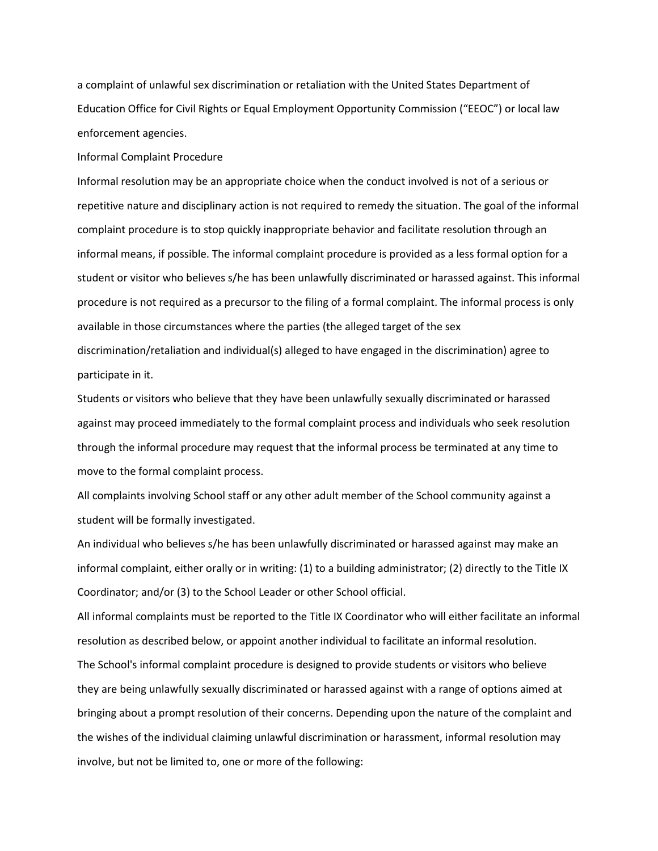a complaint of unlawful sex discrimination or retaliation with the United States Department of Education Office for Civil Rights or Equal Employment Opportunity Commission ("EEOC") or local law enforcement agencies.

Informal Complaint Procedure

Informal resolution may be an appropriate choice when the conduct involved is not of a serious or repetitive nature and disciplinary action is not required to remedy the situation. The goal of the informal complaint procedure is to stop quickly inappropriate behavior and facilitate resolution through an informal means, if possible. The informal complaint procedure is provided as a less formal option for a student or visitor who believes s/he has been unlawfully discriminated or harassed against. This informal procedure is not required as a precursor to the filing of a formal complaint. The informal process is only available in those circumstances where the parties (the alleged target of the sex discrimination/retaliation and individual(s) alleged to have engaged in the discrimination) agree to participate in it.

Students or visitors who believe that they have been unlawfully sexually discriminated or harassed against may proceed immediately to the formal complaint process and individuals who seek resolution through the informal procedure may request that the informal process be terminated at any time to move to the formal complaint process.

All complaints involving School staff or any other adult member of the School community against a student will be formally investigated.

An individual who believes s/he has been unlawfully discriminated or harassed against may make an informal complaint, either orally or in writing: (1) to a building administrator; (2) directly to the Title IX Coordinator; and/or (3) to the School Leader or other School official.

All informal complaints must be reported to the Title IX Coordinator who will either facilitate an informal resolution as described below, or appoint another individual to facilitate an informal resolution. The School's informal complaint procedure is designed to provide students or visitors who believe they are being unlawfully sexually discriminated or harassed against with a range of options aimed at bringing about a prompt resolution of their concerns. Depending upon the nature of the complaint and the wishes of the individual claiming unlawful discrimination or harassment, informal resolution may involve, but not be limited to, one or more of the following: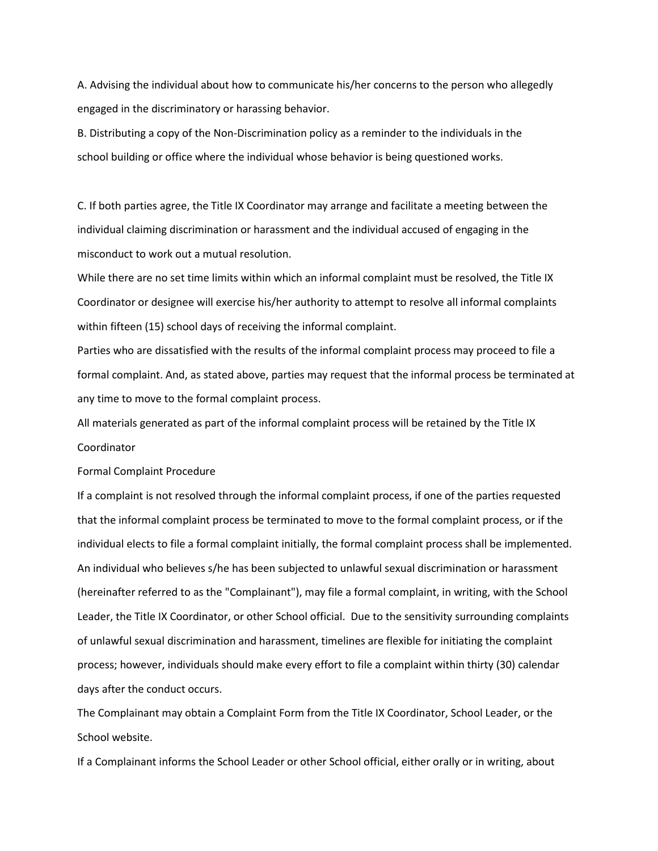A. Advising the individual about how to communicate his/her concerns to the person who allegedly engaged in the discriminatory or harassing behavior.

B. Distributing a copy of the Non-Discrimination policy as a reminder to the individuals in the school building or office where the individual whose behavior is being questioned works.

C. If both parties agree, the Title IX Coordinator may arrange and facilitate a meeting between the individual claiming discrimination or harassment and the individual accused of engaging in the misconduct to work out a mutual resolution.

While there are no set time limits within which an informal complaint must be resolved, the Title IX Coordinator or designee will exercise his/her authority to attempt to resolve all informal complaints within fifteen (15) school days of receiving the informal complaint.

Parties who are dissatisfied with the results of the informal complaint process may proceed to file a formal complaint. And, as stated above, parties may request that the informal process be terminated at any time to move to the formal complaint process.

All materials generated as part of the informal complaint process will be retained by the Title IX Coordinator

Formal Complaint Procedure

If a complaint is not resolved through the informal complaint process, if one of the parties requested that the informal complaint process be terminated to move to the formal complaint process, or if the individual elects to file a formal complaint initially, the formal complaint process shall be implemented. An individual who believes s/he has been subjected to unlawful sexual discrimination or harassment (hereinafter referred to as the "Complainant"), may file a formal complaint, in writing, with the School Leader, the Title IX Coordinator, or other School official. Due to the sensitivity surrounding complaints of unlawful sexual discrimination and harassment, timelines are flexible for initiating the complaint process; however, individuals should make every effort to file a complaint within thirty (30) calendar days after the conduct occurs.

The Complainant may obtain a Complaint Form from the Title IX Coordinator, School Leader, or the School website.

If a Complainant informs the School Leader or other School official, either orally or in writing, about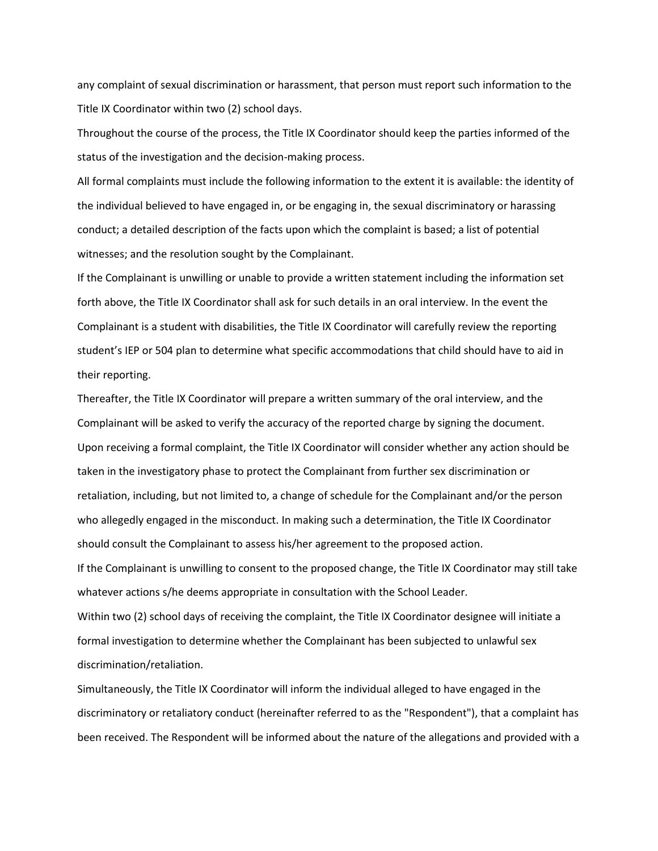any complaint of sexual discrimination or harassment, that person must report such information to the Title IX Coordinator within two (2) school days.

Throughout the course of the process, the Title IX Coordinator should keep the parties informed of the status of the investigation and the decision-making process.

All formal complaints must include the following information to the extent it is available: the identity of the individual believed to have engaged in, or be engaging in, the sexual discriminatory or harassing conduct; a detailed description of the facts upon which the complaint is based; a list of potential witnesses; and the resolution sought by the Complainant.

If the Complainant is unwilling or unable to provide a written statement including the information set forth above, the Title IX Coordinator shall ask for such details in an oral interview. In the event the Complainant is a student with disabilities, the Title IX Coordinator will carefully review the reporting student's IEP or 504 plan to determine what specific accommodations that child should have to aid in their reporting.

Thereafter, the Title IX Coordinator will prepare a written summary of the oral interview, and the Complainant will be asked to verify the accuracy of the reported charge by signing the document. Upon receiving a formal complaint, the Title IX Coordinator will consider whether any action should be taken in the investigatory phase to protect the Complainant from further sex discrimination or retaliation, including, but not limited to, a change of schedule for the Complainant and/or the person who allegedly engaged in the misconduct. In making such a determination, the Title IX Coordinator should consult the Complainant to assess his/her agreement to the proposed action. If the Complainant is unwilling to consent to the proposed change, the Title IX Coordinator may still take

whatever actions s/he deems appropriate in consultation with the School Leader.

Within two (2) school days of receiving the complaint, the Title IX Coordinator designee will initiate a formal investigation to determine whether the Complainant has been subjected to unlawful sex discrimination/retaliation.

Simultaneously, the Title IX Coordinator will inform the individual alleged to have engaged in the discriminatory or retaliatory conduct (hereinafter referred to as the "Respondent"), that a complaint has been received. The Respondent will be informed about the nature of the allegations and provided with a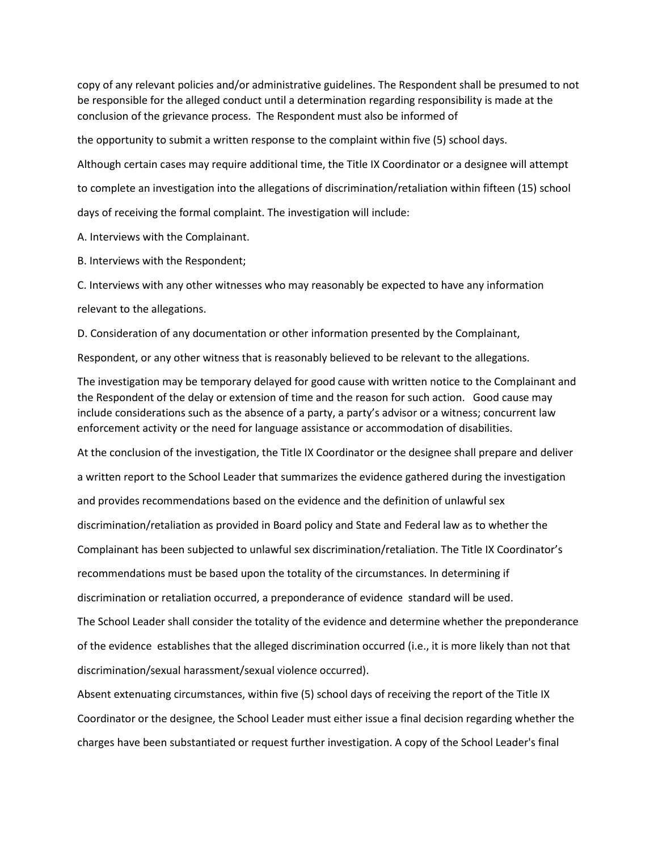copy of any relevant policies and/or administrative guidelines. The Respondent shall be presumed to not be responsible for the alleged conduct until a determination regarding responsibility is made at the conclusion of the grievance process. The Respondent must also be informed of

the opportunity to submit a written response to the complaint within five (5) school days.

Although certain cases may require additional time, the Title IX Coordinator or a designee will attempt

to complete an investigation into the allegations of discrimination/retaliation within fifteen (15) school

days of receiving the formal complaint. The investigation will include:

A. Interviews with the Complainant.

B. Interviews with the Respondent;

C. Interviews with any other witnesses who may reasonably be expected to have any information relevant to the allegations.

D. Consideration of any documentation or other information presented by the Complainant,

Respondent, or any other witness that is reasonably believed to be relevant to the allegations.

The investigation may be temporary delayed for good cause with written notice to the Complainant and the Respondent of the delay or extension of time and the reason for such action. Good cause may include considerations such as the absence of a party, a party's advisor or a witness; concurrent law enforcement activity or the need for language assistance or accommodation of disabilities.

At the conclusion of the investigation, the Title IX Coordinator or the designee shall prepare and deliver a written report to the School Leader that summarizes the evidence gathered during the investigation and provides recommendations based on the evidence and the definition of unlawful sex discrimination/retaliation as provided in Board policy and State and Federal law as to whether the Complainant has been subjected to unlawful sex discrimination/retaliation. The Title IX Coordinator's recommendations must be based upon the totality of the circumstances. In determining if discrimination or retaliation occurred, a preponderance of evidence standard will be used. The School Leader shall consider the totality of the evidence and determine whether the preponderance of the evidence establishes that the alleged discrimination occurred (i.e., it is more likely than not that discrimination/sexual harassment/sexual violence occurred).

Absent extenuating circumstances, within five (5) school days of receiving the report of the Title IX Coordinator or the designee, the School Leader must either issue a final decision regarding whether the charges have been substantiated or request further investigation. A copy of the School Leader's final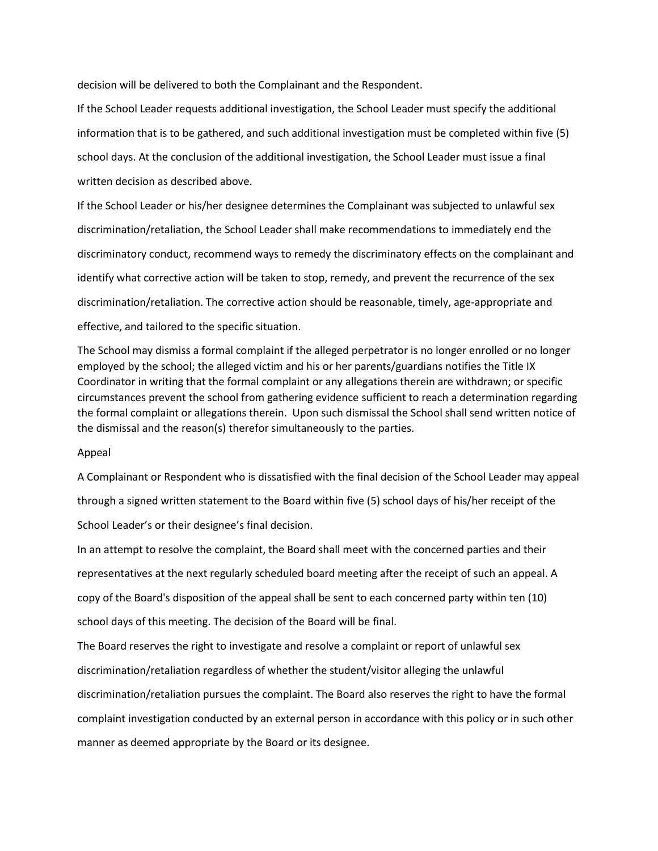decision will be delivered to both the Complainant and the Respondent.

If the School Leader requests additional investigation, the School Leader must specify the additional information that is to be gathered, and such additional investigation must be completed within five (5) school days. At the conclusion of the additional investigation, the School Leader must issue a final written decision as described above.

If the School Leader or his/her designee determines the Complainant was subjected to unlawful sex discrimination/retaliation, the School Leader shall make recommendations to immediately end the discriminatory conduct, recommend ways to remedy the discriminatory effects on the complainant and identify what corrective action will be taken to stop, remedy, and prevent the recurrence of the sex discrimination/retaliation. The corrective action should be reasonable, timely, age-appropriate and effective, and tailored to the specific situation.

The School may dismiss a formal complaint if the alleged perpetrator is no longer enrolled or no longer employed by the school; the alleged victim and his or her parents/guardians notifies the Title IX Coordinator in writing that the formal complaint or any allegations therein are withdrawn; or specific circumstances prevent the school from gathering evidence sufficient to reach a determination regarding the formal complaint or allegations therein. Upon such dismissal the School shall send written notice of the dismissal and the reason(s) therefor simultaneously to the parties.

#### Appeal

A Complainant or Respondent who is dissatisfied with the final decision of the School Leader may appeal through a signed written statement to the Board within five (5) school days of his/her receipt of the School Leader's or their designee's final decision.

In an attempt to resolve the complaint, the Board shall meet with the concerned parties and their representatives at the next regularly scheduled board meeting after the receipt of such an appeal. A copy of the Board's disposition of the appeal shall be sent to each concerned party within ten (10) school days of this meeting. The decision of the Board will be final.

The Board reserves the right to investigate and resolve a complaint or report of unlawful sex discrimination/retaliation regardless of whether the student/visitor alleging the unlawful discrimination/retaliation pursues the complaint. The Board also reserves the right to have the formal complaint investigation conducted by an external person in accordance with this policy or in such other manner as deemed appropriate by the Board or its designee.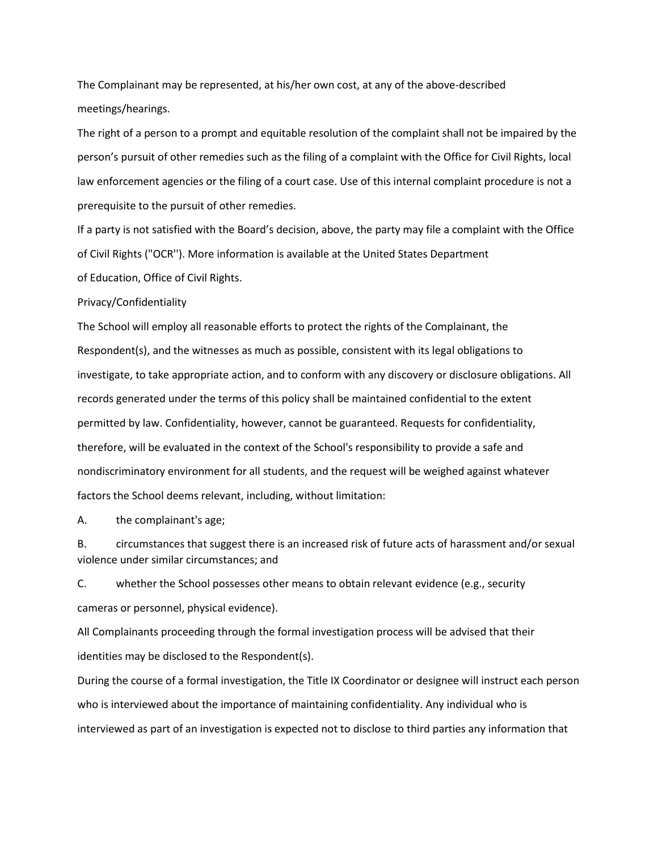The Complainant may be represented, at his/her own cost, at any of the above-described meetings/hearings.

The right of a person to a prompt and equitable resolution of the complaint shall not be impaired by the person's pursuit of other remedies such as the filing of a complaint with the Office for Civil Rights, local law enforcement agencies or the filing of a court case. Use of this internal complaint procedure is not a prerequisite to the pursuit of other remedies.

If a party is not satisfied with the Board's decision, above, the party may file a complaint with the Office of Civil Rights ("OCR''). More information is available at the United States Department of Education, Office of Civil Rights.

#### Privacy/Confidentiality

The School will employ all reasonable efforts to protect the rights of the Complainant, the Respondent(s), and the witnesses as much as possible, consistent with its legal obligations to investigate, to take appropriate action, and to conform with any discovery or disclosure obligations. All records generated under the terms of this policy shall be maintained confidential to the extent permitted by law. Confidentiality, however, cannot be guaranteed. Requests for confidentiality, therefore, will be evaluated in the context of the School's responsibility to provide a safe and nondiscriminatory environment for all students, and the request will be weighed against whatever factors the School deems relevant, including, without limitation:

A. the complainant's age;

B. circumstances that suggest there is an increased risk of future acts of harassment and/or sexual violence under similar circumstances; and

C. whether the School possesses other means to obtain relevant evidence (e.g., security cameras or personnel, physical evidence).

All Complainants proceeding through the formal investigation process will be advised that their identities may be disclosed to the Respondent(s).

During the course of a formal investigation, the Title IX Coordinator or designee will instruct each person who is interviewed about the importance of maintaining confidentiality. Any individual who is interviewed as part of an investigation is expected not to disclose to third parties any information that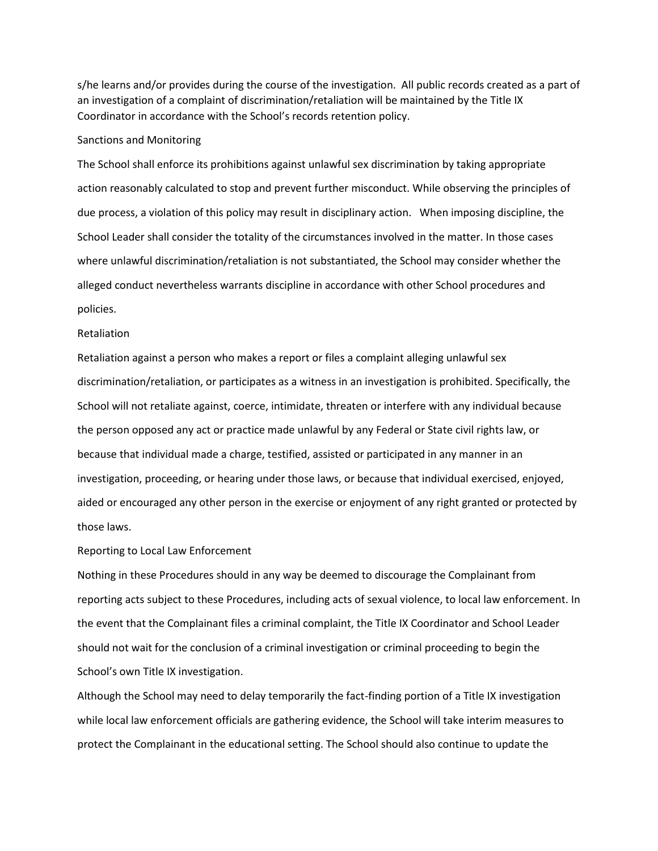s/he learns and/or provides during the course of the investigation. All public records created as a part of an investigation of a complaint of discrimination/retaliation will be maintained by the Title IX Coordinator in accordance with the School's records retention policy.

### Sanctions and Monitoring

The School shall enforce its prohibitions against unlawful sex discrimination by taking appropriate action reasonably calculated to stop and prevent further misconduct. While observing the principles of due process, a violation of this policy may result in disciplinary action. When imposing discipline, the School Leader shall consider the totality of the circumstances involved in the matter. In those cases where unlawful discrimination/retaliation is not substantiated, the School may consider whether the alleged conduct nevertheless warrants discipline in accordance with other School procedures and policies.

### Retaliation

Retaliation against a person who makes a report or files a complaint alleging unlawful sex discrimination/retaliation, or participates as a witness in an investigation is prohibited. Specifically, the School will not retaliate against, coerce, intimidate, threaten or interfere with any individual because the person opposed any act or practice made unlawful by any Federal or State civil rights law, or because that individual made a charge, testified, assisted or participated in any manner in an investigation, proceeding, or hearing under those laws, or because that individual exercised, enjoyed, aided or encouraged any other person in the exercise or enjoyment of any right granted or protected by those laws.

## Reporting to Local Law Enforcement

Nothing in these Procedures should in any way be deemed to discourage the Complainant from reporting acts subject to these Procedures, including acts of sexual violence, to local law enforcement. In the event that the Complainant files a criminal complaint, the Title IX Coordinator and School Leader should not wait for the conclusion of a criminal investigation or criminal proceeding to begin the School's own Title IX investigation.

Although the School may need to delay temporarily the fact-finding portion of a Title IX investigation while local law enforcement officials are gathering evidence, the School will take interim measures to protect the Complainant in the educational setting. The School should also continue to update the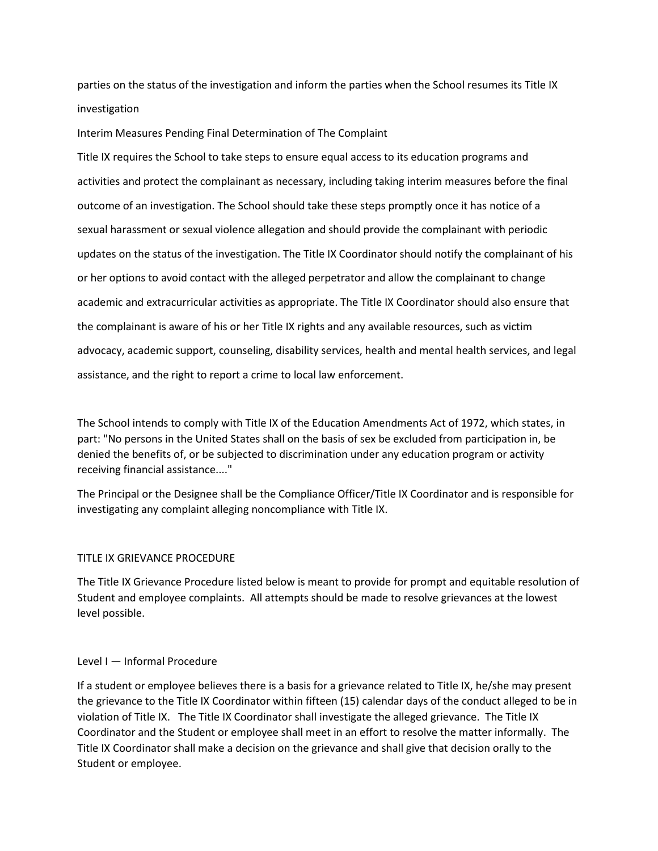parties on the status of the investigation and inform the parties when the School resumes its Title IX investigation

Interim Measures Pending Final Determination of The Complaint

Title IX requires the School to take steps to ensure equal access to its education programs and activities and protect the complainant as necessary, including taking interim measures before the final outcome of an investigation. The School should take these steps promptly once it has notice of a sexual harassment or sexual violence allegation and should provide the complainant with periodic updates on the status of the investigation. The Title IX Coordinator should notify the complainant of his or her options to avoid contact with the alleged perpetrator and allow the complainant to change academic and extracurricular activities as appropriate. The Title IX Coordinator should also ensure that the complainant is aware of his or her Title IX rights and any available resources, such as victim advocacy, academic support, counseling, disability services, health and mental health services, and legal assistance, and the right to report a crime to local law enforcement.

The School intends to comply with Title IX of the Education Amendments Act of 1972, which states, in part: "No persons in the United States shall on the basis of sex be excluded from participation in, be denied the benefits of, or be subjected to discrimination under any education program or activity receiving financial assistance...."

The Principal or the Designee shall be the Compliance Officer/Title IX Coordinator and is responsible for investigating any complaint alleging noncompliance with Title IX.

# TITLE IX GRIEVANCE PROCEDURE

The Title IX Grievance Procedure listed below is meant to provide for prompt and equitable resolution of Student and employee complaints. All attempts should be made to resolve grievances at the lowest level possible.

## Level I — Informal Procedure

If a student or employee believes there is a basis for a grievance related to Title IX, he/she may present the grievance to the Title IX Coordinator within fifteen (15) calendar days of the conduct alleged to be in violation of Title IX. The Title IX Coordinator shall investigate the alleged grievance. The Title IX Coordinator and the Student or employee shall meet in an effort to resolve the matter informally. The Title IX Coordinator shall make a decision on the grievance and shall give that decision orally to the Student or employee.